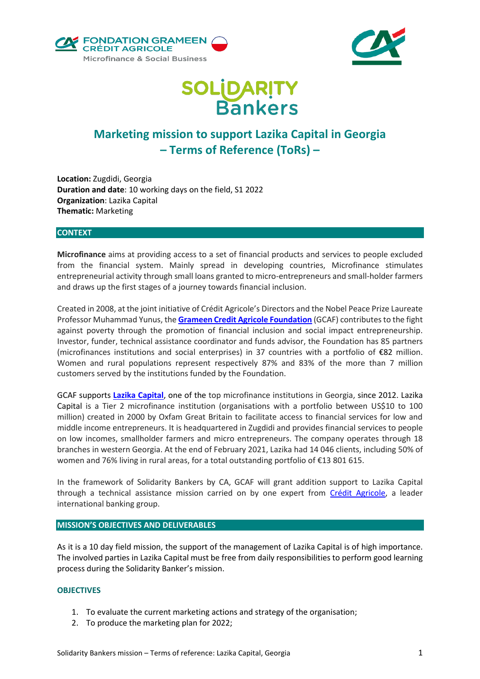



# **SOLIDARITY<br>Bankers**

# **Marketing mission to support Lazika Capital in Georgia – Terms of Reference (ToRs) –**

**Location:** Zugdidi, Georgia **Duration and date**: 10 working days on the field, S1 2022 **Organization**: Lazika Capital **Thematic:** Marketing

#### **CONTEXT**

**Microfinance** aims at providing access to a set of financial products and services to people excluded from the financial system. Mainly spread in developing countries, Microfinance stimulates entrepreneurial activity through small loans granted to micro-entrepreneurs and small-holder farmers and draws up the first stages of a journey towards financial inclusion.

Created in 2008, at the joint initiative of Crédit Agricole's Directors and the Nobel Peace Prize Laureate Professor Muhammad Yunus, the **[Grameen Credit Agricole Foundation](https://www.gca-foundation.org/en/)** (GCAF) contributes to the fight against poverty through the promotion of financial inclusion and social impact entrepreneurship. Investor, funder, technical assistance coordinator and funds advisor, the Foundation has 85 partners (microfinances institutions and social enterprises) in 37 countries with a portfolio of €82 million. Women and rural populations represent respectively 87% and 83% of the more than 7 million customers served by the institutions funded by the Foundation.

GCAF supports **[Lazika Capital](https://www.gca-foundation.org/en/organisation/lazika-2/)**, one of the top microfinance institutions in Georgia, since 2012. Lazika Capital is a Tier 2 microfinance institution (organisations with a portfolio between US\$10 to 100 million) created in 2000 by Oxfam Great Britain to facilitate access to financial services for low and middle income entrepreneurs. It is headquartered in Zugdidi and provides financial services to people on low incomes, smallholder farmers and micro entrepreneurs. The company operates through 18 branches in western Georgia. At the end of February 2021, Lazika had 14 046 clients, including 50% of women and 76% living in rural areas, for a total outstanding portfolio of €13 801 615.

In the framework of Solidarity Bankers by CA, GCAF will grant addition support to Lazika Capital through a technical assistance mission carried on by one expert from [Crédit Agricole,](https://www.credit-agricole.com/en/group/discover-the-credit-agricole-group) a leader international banking group.

#### **MISSION'S OBJECTIVES AND DELIVERABLES**

As it is a 10 day field mission, the support of the management of Lazika Capital is of high importance. The involved parties in Lazika Capital must be free from daily responsibilities to perform good learning process during the Solidarity Banker's mission.

#### **OBJECTIVES**

- 1. To evaluate the current marketing actions and strategy of the organisation;
- 2. To produce the marketing plan for 2022;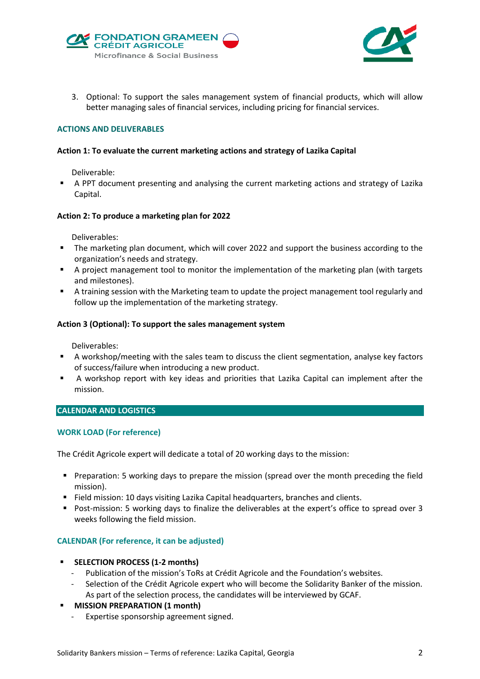



3. Optional: To support the sales management system of financial products, which will allow better managing sales of financial services, including pricing for financial services.

#### **ACTIONS AND DELIVERABLES**

#### **Action 1: To evaluate the current marketing actions and strategy of Lazika Capital**

Deliverable:

 A PPT document presenting and analysing the current marketing actions and strategy of Lazika Capital.

#### **Action 2: To produce a marketing plan for 2022**

Deliverables:

- The marketing plan document, which will cover 2022 and support the business according to the organization's needs and strategy.
- A project management tool to monitor the implementation of the marketing plan (with targets and milestones).
- A training session with the Marketing team to update the project management tool regularly and follow up the implementation of the marketing strategy.

#### **Action 3 (Optional): To support the sales management system**

Deliverables:

- A workshop/meeting with the sales team to discuss the client segmentation, analyse key factors of success/failure when introducing a new product.
- A workshop report with key ideas and priorities that Lazika Capital can implement after the mission.

## **CALENDAR AND LOGISTICS**

#### **WORK LOAD (For reference)**

The Crédit Agricole expert will dedicate a total of 20 working days to the mission:

- Preparation: 5 working days to prepare the mission (spread over the month preceding the field mission).
- Field mission: 10 days visiting Lazika Capital headquarters, branches and clients.
- **Post-mission: 5 working days to finalize the deliverables at the expert's office to spread over 3** weeks following the field mission.

#### **CALENDAR (For reference, it can be adjusted)**

#### **SELECTION PROCESS (1-2 months)**

- Publication of the mission's ToRs at Crédit Agricole and the Foundation's websites.
- Selection of the Crédit Agricole expert who will become the Solidarity Banker of the mission. As part of the selection process, the candidates will be interviewed by GCAF.

### **MISSION PREPARATION (1 month)**

- Expertise sponsorship agreement signed.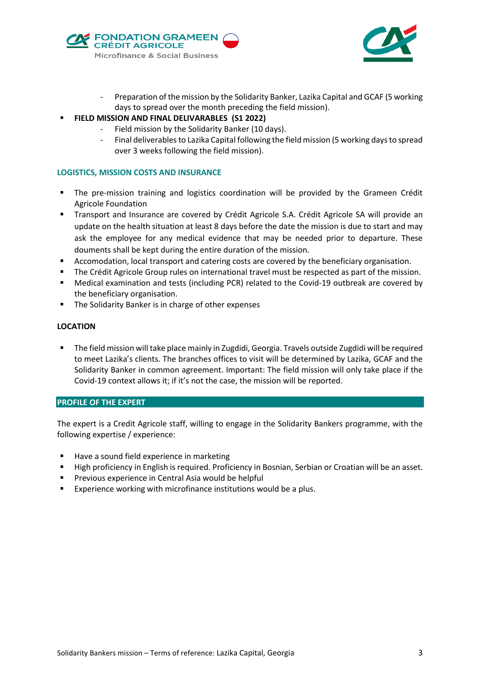



- Preparation of the mission by the Solidarity Banker, Lazika Capital and GCAF (5 working days to spread over the month preceding the field mission).
- **FIELD MISSION AND FINAL DELIVARABLES (S1 2022)**
	- Field mission by the Solidarity Banker (10 days).
	- Final deliverables to Lazika Capital following the field mission (5 working days to spread over 3 weeks following the field mission).

#### **LOGISTICS, MISSION COSTS AND INSURANCE**

- The pre-mission training and logistics coordination will be provided by the Grameen Crédit Agricole Foundation
- Transport and Insurance are covered by Crédit Agricole S.A. Crédit Agricole SA will provide an update on the health situation at least 8 days before the date the mission is due to start and may ask the employee for any medical evidence that may be needed prior to departure. These douments shall be kept during the entire duration of the mission.
- Accomodation, local transport and catering costs are covered by the beneficiary organisation.
- The Crédit Agricole Group rules on international travel must be respected as part of the mission.
- Medical examination and tests (including PCR) related to the Covid-19 outbreak are covered by the beneficiary organisation.
- The Solidarity Banker is in charge of other expenses

#### **LOCATION**

 The field mission will take place mainly in Zugdidi, Georgia. Travels outside Zugdidi will be required to meet Lazika's clients. The branches offices to visit will be determined by Lazika, GCAF and the Solidarity Banker in common agreement. Important: The field mission will only take place if the Covid-19 context allows it; if it's not the case, the mission will be reported.

#### **PROFILE OF THE EXPERT**

The expert is a Credit Agricole staff, willing to engage in the Solidarity Bankers programme, with the following expertise / experience:

- Have a sound field experience in marketing
- High proficiency in English is required. Proficiency in Bosnian, Serbian or Croatian will be an asset.
- Previous experience in Central Asia would be helpful
- **Experience working with microfinance institutions would be a plus.**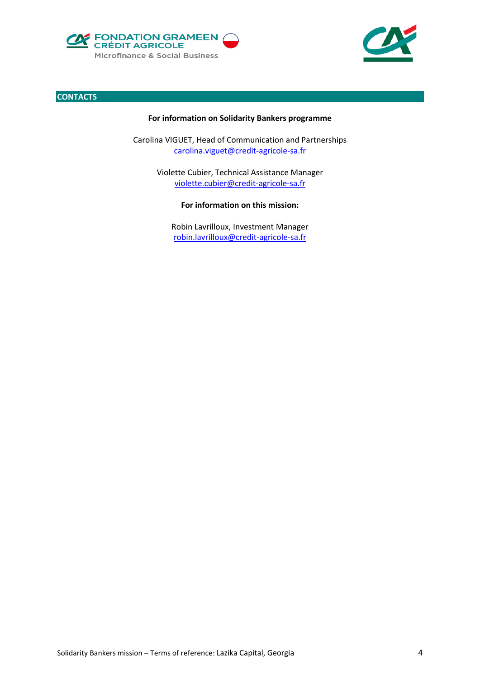





#### **For information on Solidarity Bankers programme**

Carolina VIGUET, Head of Communication and Partnerships [carolina.viguet@credit-agricole-sa.fr](mailto:carolina.viguet@credit-agricole-sa.fr)

> Violette Cubier, Technical Assistance Manager [violette.cubier@credit-agricole-sa.fr](mailto:violette.cubier@credit-agricole-sa.fr)

> > **For information on this mission:**

Robin Lavrilloux, Investment Manager robin.lavrilloux@credit-agricole-sa.fr